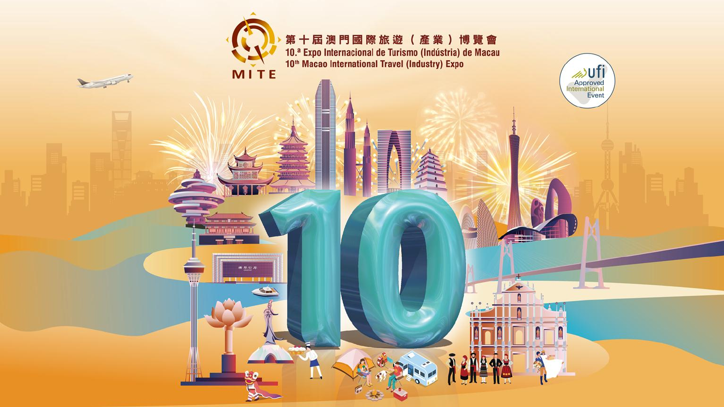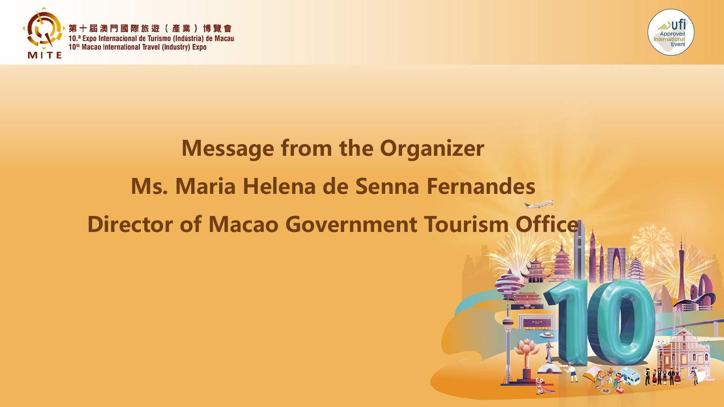



# Message from the Organizer Ms. Maria Helena de Senna Fernandes Director of Macao Government Tourism Office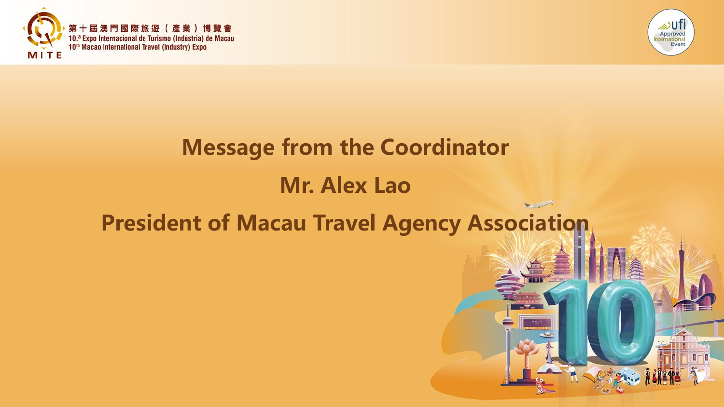



# Message from the Coordinator Mr. Alex Lao President of Macau Travel Agency Association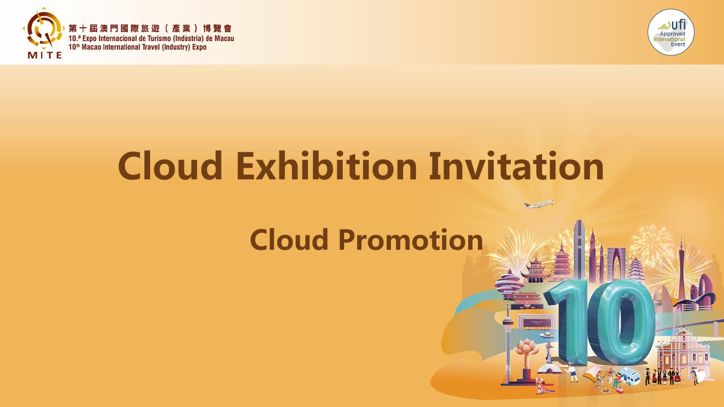



# Cloud Exhibition Invitation

# Cloud Promotion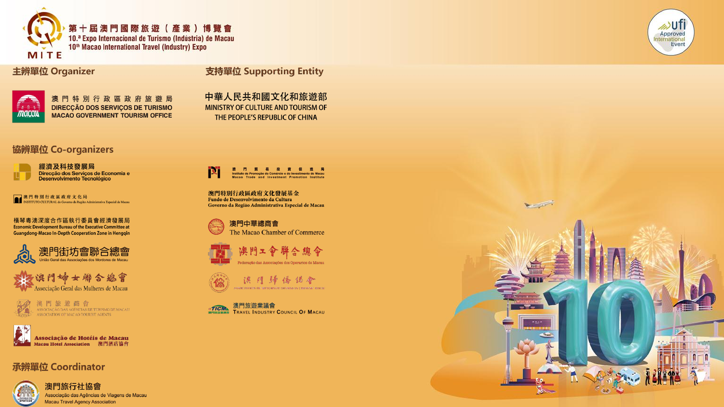

主辨單位 Organizer

支持單位 Supporting Entity



澳門特別行政區政府旅遊局 DIRECÇÃO DOS SERVIÇOS DE TURISMO **MACAO GOVERNMENT TOURISM OFFICE** 

#### 協辨單位 Co-organizers



經濟及科技發展局 Direcção dos Serviços de Economia e<br>Desenvolvimento Tecnológico

澳門特別行政區政府文化局<br>INSTITUTO CULTURAL do Governo da Região Administrativa Especial de Macau Iσ

橫琴粵澳深度合作區執行委員會經濟發展局 **Economic Development Bureau of the Executive Committee at Guangdong-Macao In-Depth Cooperation Zone in Henggin** 







Associação de Hotéis de Macau Macau Hotel Association - 澳門酒店協會

#### 承辨單位 Coordinator



澳門旅行社協會 Associação das Agências de Viagens de Macau **Macau Travel Agency Association** 

中華人民共和國文化和旅遊部 MINISTRY OF CULTURE AND TOURISM OF THE PEOPLE'S REPUBLIC OF CHINA



澳門特別行政區政府文化發展基金 Fundo de Desenvolvimento da Cultura Governo da Região Administrativa Especial de Macau











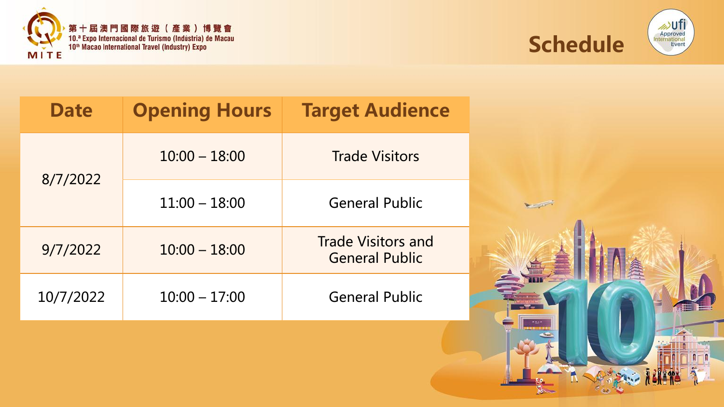





| <b>Date</b> | <b>Opening Hours</b> | <b>Target Audience</b>                             |
|-------------|----------------------|----------------------------------------------------|
|             | $10:00 - 18:00$      | <b>Trade Visitors</b>                              |
| 8/7/2022    | $11:00 - 18:00$      | <b>General Public</b>                              |
| 9/7/2022    | $10:00 - 18:00$      | <b>Trade Visitors and</b><br><b>General Public</b> |
| 10/7/2022   | $10:00 - 17:00$      | <b>General Public</b>                              |

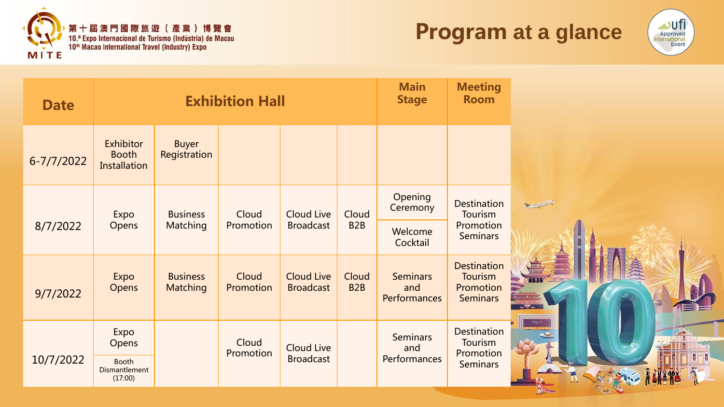





| <b>Date</b> | <b>Exhibition Hall</b>                           |                                    |                    | <b>Main</b><br><b>Stage</b>           | <b>Meeting</b><br><b>Room</b> |                                        |                                                                      |                 |
|-------------|--------------------------------------------------|------------------------------------|--------------------|---------------------------------------|-------------------------------|----------------------------------------|----------------------------------------------------------------------|-----------------|
| 6-7/7/2022  | Exhibitor<br><b>Booth</b><br><b>Installation</b> | <b>Buyer</b><br>Registration       |                    |                                       |                               |                                        |                                                                      |                 |
|             | Expo                                             | <b>Business</b>                    | Cloud              | Cloud Live                            | Cloud                         | Opening<br>Ceremony                    | <b>Destination</b><br>Tourism                                        | <b>Magazine</b> |
| 8/7/2022    | Opens                                            | <b>Matching</b>                    | Promotion          | <b>Broadcast</b>                      | B <sub>2</sub> B              | Welcome<br>Cocktail                    | Promotion<br><b>Seminars</b>                                         |                 |
| 9/7/2022    | Expo<br>Opens                                    | <b>Business</b><br><b>Matching</b> | Cloud<br>Promotion | <b>Cloud Live</b><br><b>Broadcast</b> | Cloud<br>B <sub>2</sub> B     | <b>Seminars</b><br>and<br>Performances | <b>Destination</b><br><b>Tourism</b><br>Promotion<br><b>Seminars</b> | R I T I 1       |
|             | Expo<br>Opens                                    |                                    | Cloud<br>Promotion | <b>Cloud Live</b><br><b>Broadcast</b> |                               | <b>Seminars</b><br>and<br>Performances | <b>Destination</b><br>Tourism<br>Promotion                           |                 |
| 10/7/2022   | <b>Booth</b><br>Dismantlement<br>(17:00)         |                                    |                    |                                       |                               |                                        | <b>Seminars</b>                                                      |                 |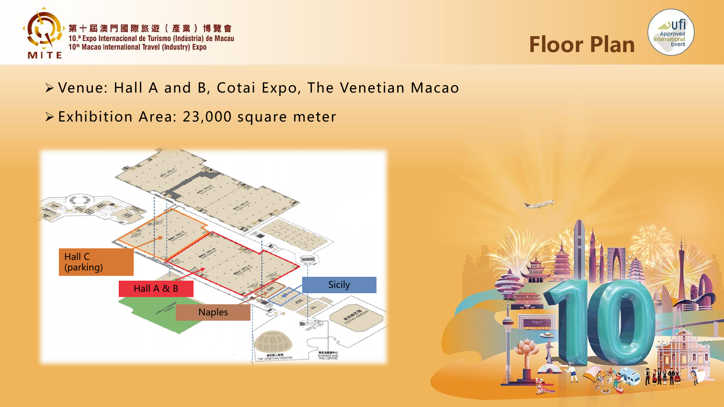



#### Venue: Hall A and B, Cotai Expo, The Venetian Macao

Exhibition Area: 23,000 square meter



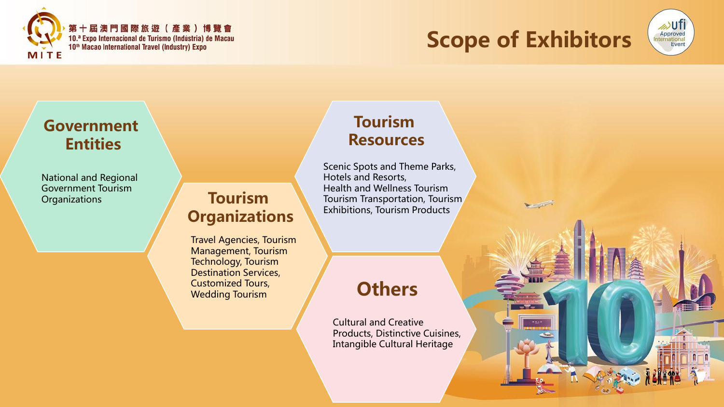

### Scope of Exhibitors



#### Government Entities

National and Regional Government Tourism **Organizations** 

#### Tourism **Organizations**

Travel Agencies, Tourism Management, Tourism Technology, Tourism Destination Services, Customized Tours, Wedding Tourism

#### Tourism Resources

Scenic Spots and Theme Parks, Hotels and Resorts, Health and Wellness Tourism Tourism Transportation, Tourism Exhibitions, Tourism Products

#### **Others**

Cultural and Creative Products, Distinctive Cuisines, Intangible Cultural Heritage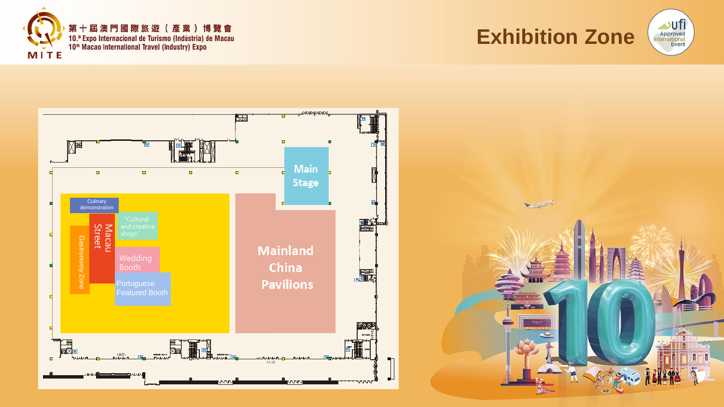







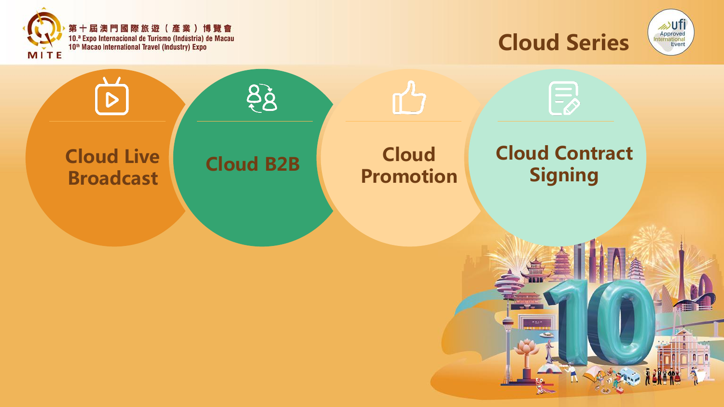





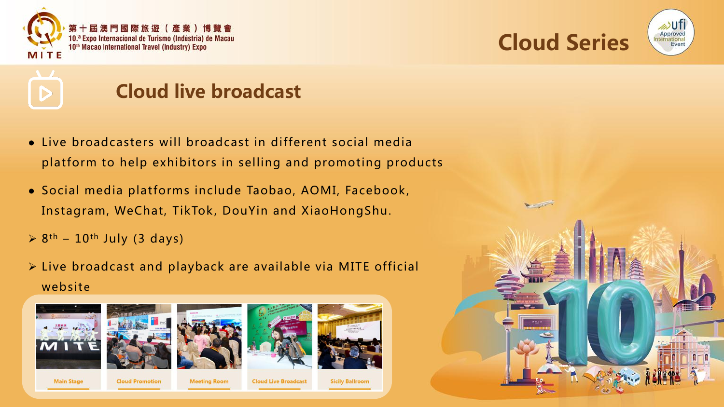





### Cloud live broadcast

- Live broadcasters will broadcast in different social media platform to help exhibitors in selling and promoting products
- Social media platforms include Taobao, AOMI, Facebook, Instagram, WeChat, TikTok, DouYin and XiaoHongShu.
- $\geq 8$ <sup>th</sup> 10<sup>th</sup> July (3 days)
- $\triangleright$  Live broadcast and playback are available via MITE official website









**Main Stage** 

**Cloud Promotion** 

**Meeting Room** 

**Cloud Live Broadcast** 

**Sicily Ballroom** 

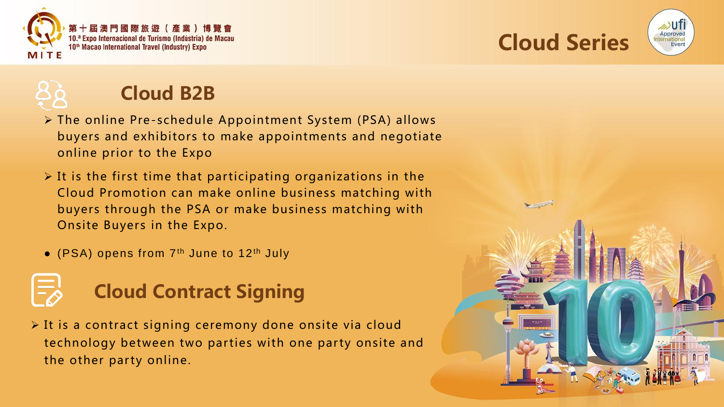





### Cloud B2B

- The online Pre-schedule Appointment System (PSA) allows buyers and exhibitors to make appointments and negotiate online prior to the Expo
- $\triangleright$  It is the first time that participating organizations in the Cloud Promotion can make online business matching with buyers through the PSA or make business matching with Onsite Buyers in the Expo.
- (PSA) opens from 7<sup>th</sup> June to 12<sup>th</sup> July

# Cloud Contract Signing

 It is a contract signing ceremony done onsite via cloud technology between two parties with one party onsite and the other party online.

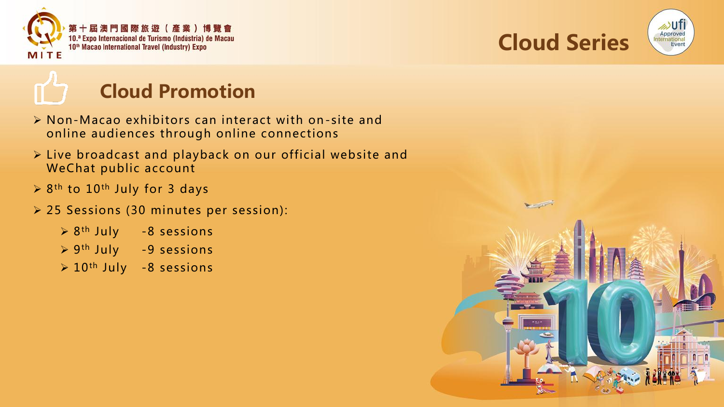







- Non-Macao exhibitors can interact with on-site and online audiences through online connections
- Live broadcast and playback on our official website and WeChat public account
- $\triangleright$  8<sup>th</sup> to 10<sup>th</sup> July for 3 days
- 25 Sessions (30 minutes per session):

| $> 8th$ July | -8 sessions |
|--------------|-------------|
| > 9th July   | -9 sessions |

 $\geq 10$ <sup>th</sup> July -8 sessions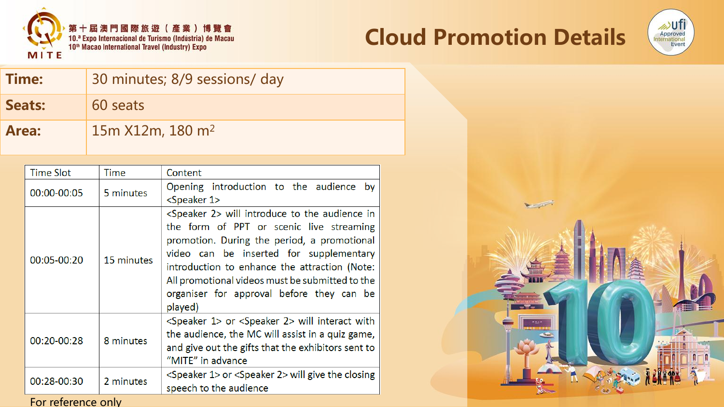





Time: 30 minutes; 8/9 sessions/ day Seats: 60 seats **Area:** 15m X12m, 180 m<sup>2</sup>

| <b>Time Slot</b> | Time       | Content                                                                                                                                                                                                                                                                                                                                                             |
|------------------|------------|---------------------------------------------------------------------------------------------------------------------------------------------------------------------------------------------------------------------------------------------------------------------------------------------------------------------------------------------------------------------|
| 00:00-00:05      | 5 minutes  | Opening introduction to the audience by<br><speaker 1=""></speaker>                                                                                                                                                                                                                                                                                                 |
| 00:05-00:20      | 15 minutes | <speaker 2=""> will introduce to the audience in<br/>the form of PPT or scenic live streaming<br/>promotion. During the period, a promotional<br/>video can be inserted for supplementary<br/>introduction to enhance the attraction (Note:<br/>All promotional videos must be submitted to the<br/>organiser for approval before they can be<br/>played)</speaker> |
| 00:20-00:28      | 8 minutes  | <speaker 1=""> or <speaker 2=""> will interact with<br/>the audience, the MC will assist in a quiz game,<br/>and give out the gifts that the exhibitors sent to<br/>"MITE" in advance</speaker></speaker>                                                                                                                                                           |
| 00:28-00:30      | 2 minutes  | <speaker 1=""> or <speaker 2=""> will give the closing<br/>speech to the audience</speaker></speaker>                                                                                                                                                                                                                                                               |

For reference only

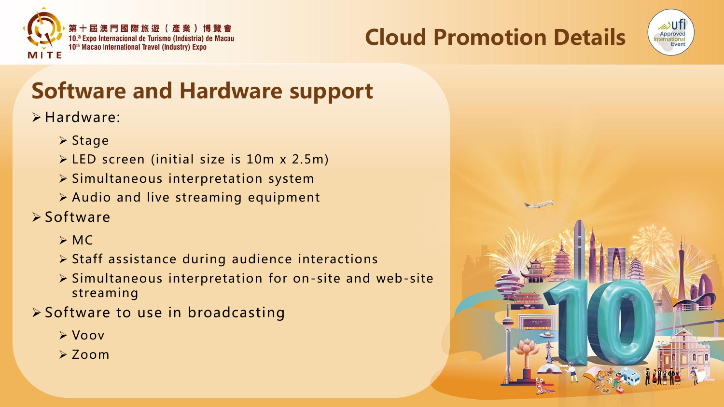





## Software and Hardware support

#### Hardware:

- $\triangleright$  Stage
- LED screen (initial size is 10m x 2.5m)
- $\triangleright$  Simultaneous interpretation system
- $\triangleright$  Audio and live streaming equipment
- **≻Software** 
	- $>MC$
	- $\triangleright$  Staff assistance during audience interactions
	- $\triangleright$  Simultaneous interpretation for on-site and web-site streaming
- $\triangleright$  Software to use in broadcasting
	- Voov
	- $\geq$  Zoom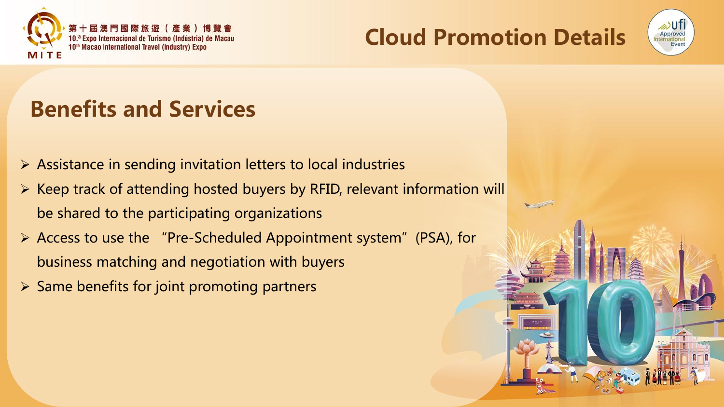

Cloud Promotion Details



### Benefits and Services

- $\triangleright$  Assistance in sending invitation letters to local industries
- $\triangleright$  Keep track of attending hosted buyers by RFID, relevant information will be shared to the participating organizations
- $\triangleright$  Access to use the "Pre-Scheduled Appointment system" (PSA), for business matching and negotiation with buyers
- $\triangleright$  Same benefits for joint promoting partners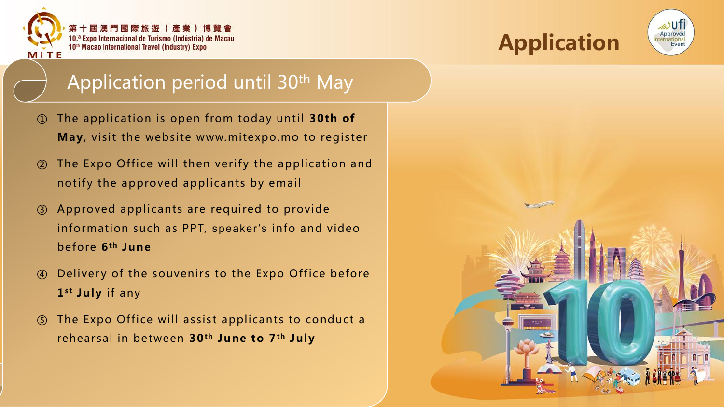

第 十 屆 澳 門 國 際 旅 遊 ( 產 業 ) 博 覽 會 10.ª Expo Internacional de Turismo (Indústria) de Macau 10<sup>th</sup> Macao International Travel (Industry) Expo





### Application period until 30th May

- ① The application is open from today until 30th of May, visit the website www.mitexpo.mo to register
- ② The Expo Office will then verify the application and notify the approved applicants by email
- ③ Approved applicants are required to provide information such as PPT, speaker's info and video before 6th June
- ④ Deliver y of the souvenirs to the Expo Office before 1<sup>st</sup> July if any
- ⑤ The Expo Office will assist applicants to conduct a rehearsal in between 30<sup>th</sup> June to 7<sup>th</sup> July

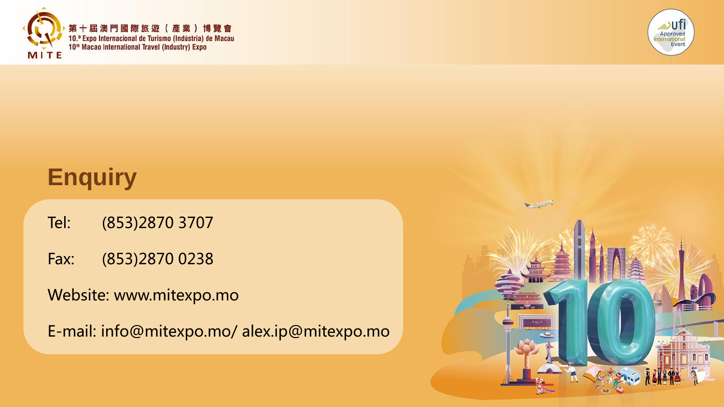



## **Enquiry**

- Tel: (853)2870 3707
- Fax: (853)2870 0238
- Website: www.mitexpo.mo

E-mail: info@mitexpo.mo/ alex.ip@mitexpo.mo